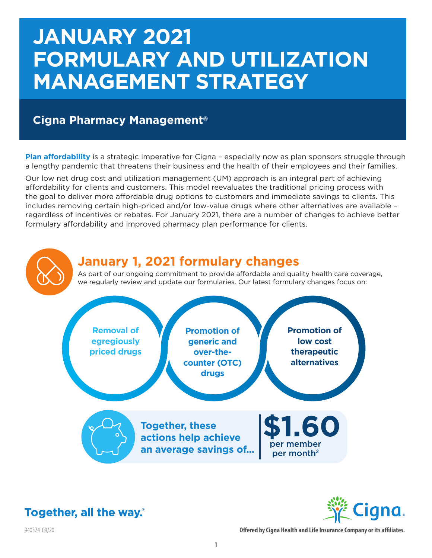# **JANUARY 2021 FORMULARY AND UTILIZATION MANAGEMENT STRATEGY**

# **Cigna Pharmacy Management®**

**Plan affordability** is a strategic imperative for Cigna - especially now as plan sponsors struggle through a lengthy pandemic that threatens their business and the health of their employees and their families.

Our low net drug cost and utilization management (UM) approach is an integral part of achieving affordability for clients and customers. This model reevaluates the traditional pricing process with the goal to deliver more affordable drug options to customers and immediate savings to clients. This includes removing certain high-priced and/or low-value drugs where other alternatives are available – regardless of incentives or rebates. For January 2021, there are a number of changes to achieve better formulary affordability and improved pharmacy plan performance for clients.





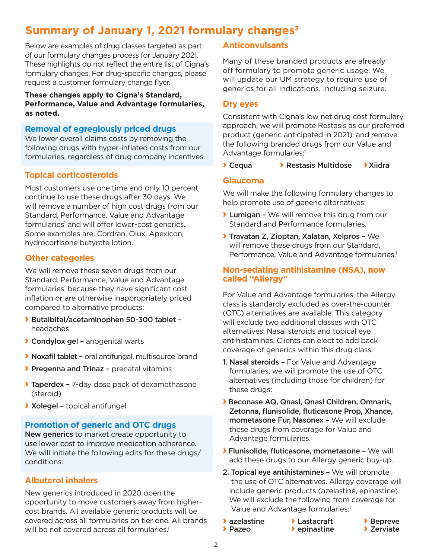# **Summary of January 1, 2021 formulary changes3**

Below are examples of drug classes targeted as part of our formulary changes process for January 2021. These highlights do not reflect the entire list of Cigna's formulary changes. For drug-specific changes, please request a customer formulary change flyer.

#### **These changes apply to Cigna's Standard, Performance, Value and Advantage formularies, as noted.**

#### **Removal of egregiously priced drugs**

We lower overall claims costs by removing the following drugs with hyper-inflated costs from our formularies, regardless of drug company incentives.

## **Topical corticosteroids**

Most customers use one time and only 10 percent continue to use these drugs after 30 days. We will remove a number of high cost drugs from our Standard, Performance, Value and Advantage formularies<sup>1</sup> and will offer lower-cost generics. Some examples are: Cordran, Olux, Apexicon, hydrocortisone butyrate lotion.

# **Other categories**

We will remove these seven drugs from our Standard, Performance, Value and Advantage formularies<sup>1</sup> because they have significant cost inflation or are otherwise inappropriately priced compared to alternative products:

- › Butalbital/acetaminophen 50-300 tablet headaches
- › Condylox gel anogenital warts
- › Noxafil tablet oral antifungal, multisource brand
- › Pregenna and Trinaz prenatal vitamins
- **Taperdex 7-day dose pack of dexamethasone** (steroid)
- › Xolegel topical antifungal

#### **Promotion of generic and OTC drugs**

New generics to market create opportunity to use lower cost to improve medication adherence. We will initiate the following edits for these drugs/ conditions:

## **Albuterol inhalers**

New generics introduced in 2020 open the opportunity to move customers away from highercost brands. All available generic products will be covered across all formularies on tier one. All brands will be not covered across all formularies.<sup>1</sup>

## **Anticonvulsants**

Many of these branded products are already off formulary to promote generic usage. We will update our UM strategy to require use of generics for all indications, including seizure.

#### **Dry eyes**

Consistent with Cigna's low net drug cost formulary approach, we will promote Restasis as our preferred product (generic anticipated in 2021), and remove the following branded drugs from our Value and Advantage formularies:<sup>1</sup>

#### **> Cequa** > Restasis Multidose > Xiidra

#### **Glaucoma**

We will make the following formulary changes to help promote use of generic alternatives:

- **> Lumigan -** We will remove this drug from our Standard and Performance formularies.<sup>1</sup>
- › Travatan Z, Zioptan, Xalatan, Xelpros We will remove these drugs from our Standard, Performance, Value and Advantage formularies.<sup>1</sup>

## **Non-sedating antihistamine (NSA), now called "Allergy"**

For Value and Advantage formularies, the Allergy class is standardly excluded as over-the-counter (OTC) alternatives are available. This category will exclude two additional classes with OTC alternatives: Nasal steroids and topical eye antihistamines. Clients can elect to add back coverage of generics within this drug class.

- 1. Nasal steroids For Value and Advantage formularies, we will promote the use of OTC alternatives (including those for children) for these drugs:
- › Beconase AQ, Qnasl, Qnasl Children, Omnaris, Zetonna, flunisolide, fluticasone Prop, Xhance, mometasone Fur, Nasonex – We will exclude these drugs from coverage for Value and Advantage formularies.<sup>1</sup>
- › Flunisolide, fluticasone, mometasone We will add these drugs to our Allergy generic buy-up.
- 2. Topical eye antihistamines We will promote the use of OTC alternatives. Allergy coverage will include generic products (azelastine, epinastine). We will exclude the following from coverage for Value and Advantage formularies:<sup>1</sup>
- 
- **>** azelastine > azelastine > Lastacraft > Depreve<br>> Pazeo > > epinastine > Deprevate  $\rightarrow$  epinastine
-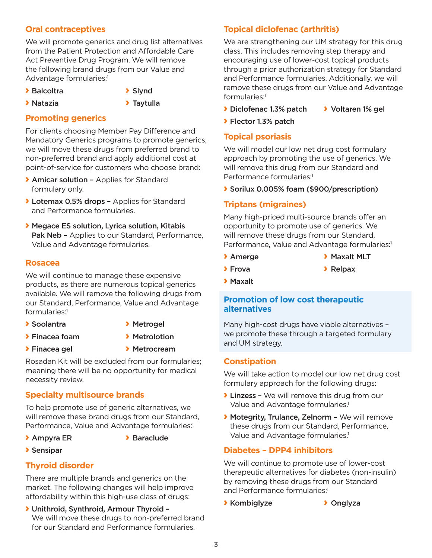# **Oral contraceptives**

We will promote generics and drug list alternatives from the Patient Protection and Affordable Care Act Preventive Drug Program. We will remove the following brand drugs from our Value and Advantage formularies:<sup>1</sup>

**>** Balcoltra **>** Slynd

- › Natazia › Taytulla
- 
- **Promoting generics**

For clients choosing Member Pay Difference and Mandatory Generics programs to promote generics, we will move these drugs from preferred brand to non-preferred brand and apply additional cost at point-of-service for customers who choose brand:

- › Amicar solution Applies for Standard formulary only.
- › Lotemax 0.5% drops Applies for Standard and Performance formularies.
- › Megace ES solution, Lyrica solution, Kitabis Pak Neb - Applies to our Standard, Performance, Value and Advantage formularies.

## **Rosacea**

We will continue to manage these expensive products, as there are numerous topical generics available. We will remove the following drugs from our Standard, Performance, Value and Advantage formularies:1

- > Soolantra > Metrogel
- 
- > Finacea foam > Metrolotion
- 
- 
- > Finacea gel > Metrocream

Rosadan Kit will be excluded from our formularies; meaning there will be no opportunity for medical necessity review.

## **Specialty multisource brands**

To help promote use of generic alternatives, we will remove these brand drugs from our Standard, Performance, Value and Advantage formularies:<sup>1</sup>

- 
- **> Ampyra ER** > Baraclude
- › Sensipar

## **Thyroid disorder**

There are multiple brands and generics on the market. The following changes will help improve affordability within this high-use class of drugs:

› Unithroid, Synthroid, Armour Thyroid – We will move these drugs to non-preferred brand for our Standard and Performance formularies.

# **Topical diclofenac (arthritis)**

We are strengthening our UM strategy for this drug class. This includes removing step therapy and encouraging use of lower-cost topical products through a prior authorization strategy for Standard and Performance formularies. Additionally, we will remove these drugs from our Value and Advantage formularies:1

- › Diclofenac 1.3% patch › Voltaren 1% gel
- › Flector 1.3% patch

# **Topical psoriasis**

We will model our low net drug cost formulary approach by promoting the use of generics. We will remove this drug from our Standard and Performance formularies:<sup>1</sup>

› Sorilux 0.005% foam (\$900/prescription)

# **Triptans (migraines)**

Many high-priced multi-source brands offer an opportunity to promote use of generics. We will remove these drugs from our Standard, Performance, Value and Advantage formularies:<sup>1</sup>

- 
- > Amerge > Maxalt MLT
- **>** Frova **>** Relpax
- › Maxalt

#### **Promotion of low cost therapeutic alternatives**

Many high-cost drugs have viable alternatives – we promote these through a targeted formulary and UM strategy.

## **Constipation**

We will take action to model our low net drug cost formulary approach for the following drugs:

- › Linzess We will remove this drug from our Value and Advantage formularies.<sup>1</sup>
- › Motegrity, Trulance, Zelnorm We will remove these drugs from our Standard, Performance, Value and Advantage formularies.<sup>1</sup>

## **Diabetes – DPP4 inhibitors**

We will continue to promote use of lower-cost therapeutic alternatives for diabetes (non-insulin) by removing these drugs from our Standard and Performance formularies:1

› Kombiglyze › Onglyza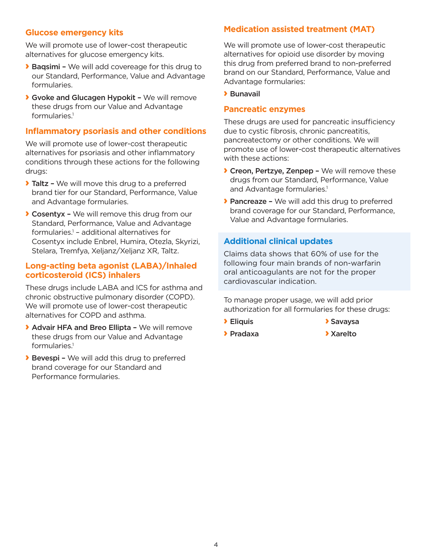#### **Glucose emergency kits**

We will promote use of lower-cost therapeutic alternatives for glucose emergency kits.

- › Baqsimi We will add covereage for this drug to our Standard, Performance, Value and Advantage formularies.
- **Gvoke and Glucagen Hypokit We will remove** these drugs from our Value and Advantage formularies.1

#### **Inflammatory psoriasis and other conditions**

We will promote use of lower-cost therapeutic alternatives for psoriasis and other inflammatory conditions through these actions for the following drugs:

- **Taltz -** We will move this drug to a preferred brand tier for our Standard, Performance, Value and Advantage formularies.
- › Cosentyx We will remove this drug from our Standard, Performance, Value and Advantage formularies.1 – additional alternatives for Cosentyx include Enbrel, Humira, Otezla, Skyrizi, Stelara, Tremfya, Xeljanz/Xeljanz XR, Taltz.

#### **Long-acting beta agonist (LABA)/Inhaled corticosteroid (ICS) inhalers**

These drugs include LABA and ICS for asthma and chronic obstructive pulmonary disorder (COPD). We will promote use of lower-cost therapeutic alternatives for COPD and asthma.

- › Advair HFA and Breo Ellipta We will remove these drugs from our Value and Advantage formularies.<sup>1</sup>
- › Bevespi We will add this drug to preferred brand coverage for our Standard and Performance formularies.

#### **Medication assisted treatment (MAT)**

We will promote use of lower-cost therapeutic alternatives for opioid use disorder by moving this drug from preferred brand to non-preferred brand on our Standard, Performance, Value and Advantage formularies:

#### › Bunavail

#### **Pancreatic enzymes**

These drugs are used for pancreatic insufficiency due to cystic fibrosis, chronic pancreatitis, pancreatectomy or other conditions. We will promote use of lower-cost therapeutic alternatives with these actions:

- › Creon, Pertzye, Zenpep We will remove these drugs from our Standard, Performance, Value and Advantage formularies.<sup>1</sup>
- › Pancreaze We will add this drug to preferred brand coverage for our Standard, Performance, Value and Advantage formularies.

# **Additional clinical updates**

Claims data shows that 60% of use for the following four main brands of non-warfarin oral anticoagulants are not for the proper cardiovascular indication.

To manage proper usage, we will add prior authorization for all formularies for these drugs:

- **> Eliquis > Savaysa**
- **>** Pradaxa **>>** Xarelto
- 
-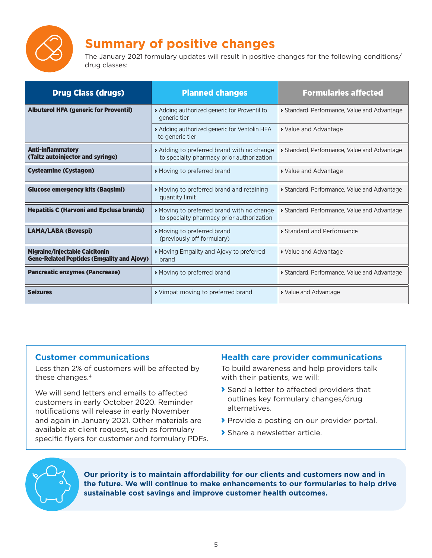

# **Summary of positive changes**

The January 2021 formulary updates will result in positive changes for the following conditions/ drug classes:

| <b>Drug Class (drugs)</b>                                                                  | <b>Planned changes</b>                                                                | <b>Formularies affected</b>                |
|--------------------------------------------------------------------------------------------|---------------------------------------------------------------------------------------|--------------------------------------------|
| <b>Albuterol HFA (generic for Proventil)</b>                                               | Adding authorized generic for Proventil to<br>generic tier                            | Standard, Performance, Value and Advantage |
|                                                                                            | Adding authorized generic for Ventolin HFA<br>to generic tier                         | > Value and Advantage                      |
| <b>Anti-inflammatory</b><br>(Taltz autoinjector and syringe)                               | Adding to preferred brand with no change<br>to specialty pharmacy prior authorization | Standard, Performance, Value and Advantage |
| <b>Cysteamine (Cystagon)</b>                                                               | Moving to preferred brand                                                             | > Value and Advantage                      |
| <b>Glucose emergency kits (Baqsimi)</b>                                                    | Moving to preferred brand and retaining<br>quantity limit                             | Standard, Performance, Value and Advantage |
| <b>Hepatitis C (Harvoni and Epclusa brands)</b>                                            | Moving to preferred brand with no change<br>to specialty pharmacy prior authorization | Standard, Performance, Value and Advantage |
| <b>LAMA/LABA (Bevespi)</b>                                                                 | Moving to preferred brand<br>(previously off formulary)                               | Standard and Performance                   |
| <b>Migraine/injectable Calcitonin</b><br><b>Gene-Related Peptides (Emgality and Ajovy)</b> | Moving Emgality and Ajovy to preferred<br>brand                                       | > Value and Advantage                      |
| <b>Pancreatic enzymes (Pancreaze)</b>                                                      | Moving to preferred brand                                                             | Standard, Performance, Value and Advantage |
| <b>Seizures</b>                                                                            | ▶ Vimpat moving to preferred brand                                                    | > Value and Advantage                      |

#### **Customer communications**

Less than 2% of customers will be affected by these changes.<sup>4</sup>

We will send letters and emails to affected customers in early October 2020. Reminder notifications will release in early November and again in January 2021. Other materials are available at client request, such as formulary specific flyers for customer and formulary PDFs.

## **Health care provider communications**

To build awareness and help providers talk with their patients, we will:

- › Send a letter to affected providers that outlines key formulary changes/drug alternatives.
- **>** Provide a posting on our provider portal.
- › Share a newsletter article.



**Our priority is to maintain affordability for our clients and customers now and in the future. We will continue to make enhancements to our formularies to help drive sustainable cost savings and improve customer health outcomes.**